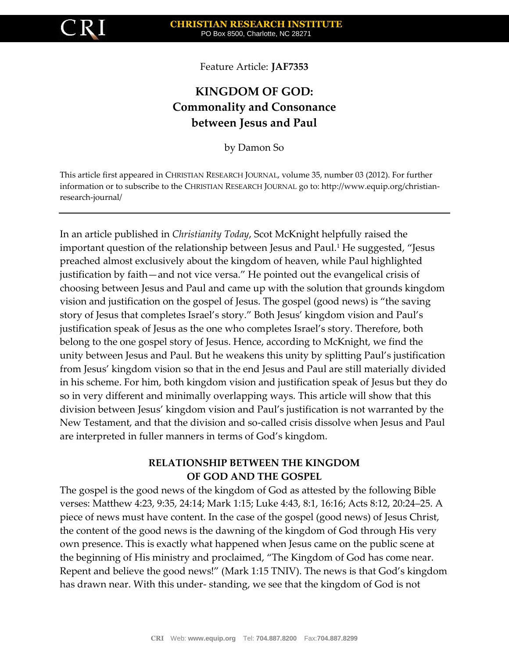

Feature Article: **JAF7353**

# **KINGDOM OF GOD: Commonality and Consonance between Jesus and Paul**

by Damon So

This article first appeared in CHRISTIAN RESEARCH JOURNAL, volume 35, number 03 (2012). For further information or to subscribe to the CHRISTIAN RESEARCH JOURNAL go to: http://www.equip.org/christianresearch-journal/

In an article published in *Christianity Today*, Scot McKnight helpfully raised the important question of the relationship between Jesus and Paul.<sup>1</sup> He suggested, "Jesus preached almost exclusively about the kingdom of heaven, while Paul highlighted justification by faith—and not vice versa." He pointed out the evangelical crisis of choosing between Jesus and Paul and came up with the solution that grounds kingdom vision and justification on the gospel of Jesus. The gospel (good news) is "the saving story of Jesus that completes Israel's story." Both Jesus' kingdom vision and Paul's justification speak of Jesus as the one who completes Israel's story. Therefore, both belong to the one gospel story of Jesus. Hence, according to McKnight, we find the unity between Jesus and Paul. But he weakens this unity by splitting Paul's justification from Jesus' kingdom vision so that in the end Jesus and Paul are still materially divided in his scheme. For him, both kingdom vision and justification speak of Jesus but they do so in very different and minimally overlapping ways. This article will show that this division between Jesus' kingdom vision and Paul's justification is not warranted by the New Testament, and that the division and so-called crisis dissolve when Jesus and Paul are interpreted in fuller manners in terms of God's kingdom.

## **RELATIONSHIP BETWEEN THE KINGDOM OF GOD AND THE GOSPEL**

The gospel is the good news of the kingdom of God as attested by the following Bible verses: Matthew 4:23, 9:35, 24:14; Mark 1:15; Luke 4:43, 8:1, 16:16; Acts 8:12, 20:24–25. A piece of news must have content. In the case of the gospel (good news) of Jesus Christ, the content of the good news is the dawning of the kingdom of God through His very own presence. This is exactly what happened when Jesus came on the public scene at the beginning of His ministry and proclaimed, "The Kingdom of God has come near. Repent and believe the good news!" (Mark 1:15 TNIV). The news is that God's kingdom has drawn near. With this under- standing, we see that the kingdom of God is not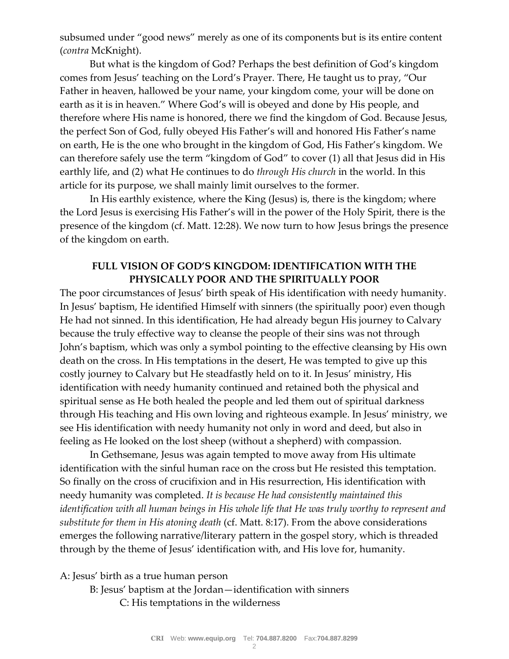subsumed under "good news" merely as one of its components but is its entire content (*contra* McKnight).

But what is the kingdom of God? Perhaps the best definition of God's kingdom comes from Jesus' teaching on the Lord's Prayer. There, He taught us to pray, "Our Father in heaven, hallowed be your name, your kingdom come, your will be done on earth as it is in heaven." Where God's will is obeyed and done by His people, and therefore where His name is honored, there we find the kingdom of God. Because Jesus, the perfect Son of God, fully obeyed His Father's will and honored His Father's name on earth, He is the one who brought in the kingdom of God, His Father's kingdom. We can therefore safely use the term "kingdom of God" to cover (1) all that Jesus did in His earthly life, and (2) what He continues to do *through His church* in the world. In this article for its purpose, we shall mainly limit ourselves to the former.

In His earthly existence, where the King (Jesus) is, there is the kingdom; where the Lord Jesus is exercising His Father's will in the power of the Holy Spirit, there is the presence of the kingdom (cf. Matt. 12:28). We now turn to how Jesus brings the presence of the kingdom on earth.

### **FULL VISION OF GOD'S KINGDOM: IDENTIFICATION WITH THE PHYSICALLY POOR AND THE SPIRITUALLY POOR**

The poor circumstances of Jesus' birth speak of His identification with needy humanity. In Jesus' baptism, He identified Himself with sinners (the spiritually poor) even though He had not sinned. In this identification, He had already begun His journey to Calvary because the truly effective way to cleanse the people of their sins was not through John's baptism, which was only a symbol pointing to the effective cleansing by His own death on the cross. In His temptations in the desert, He was tempted to give up this costly journey to Calvary but He steadfastly held on to it. In Jesus' ministry, His identification with needy humanity continued and retained both the physical and spiritual sense as He both healed the people and led them out of spiritual darkness through His teaching and His own loving and righteous example. In Jesus' ministry, we see His identification with needy humanity not only in word and deed, but also in feeling as He looked on the lost sheep (without a shepherd) with compassion.

In Gethsemane, Jesus was again tempted to move away from His ultimate identification with the sinful human race on the cross but He resisted this temptation. So finally on the cross of crucifixion and in His resurrection, His identification with needy humanity was completed. *It is because He had consistently maintained this identification with all human beings in His whole life that He was truly worthy to represent and substitute for them in His atoning death* (cf. Matt. 8:17). From the above considerations emerges the following narrative/literary pattern in the gospel story, which is threaded through by the theme of Jesus' identification with, and His love for, humanity.

A: Jesus' birth as a true human person

B: Jesus' baptism at the Jordan—identification with sinners C: His temptations in the wilderness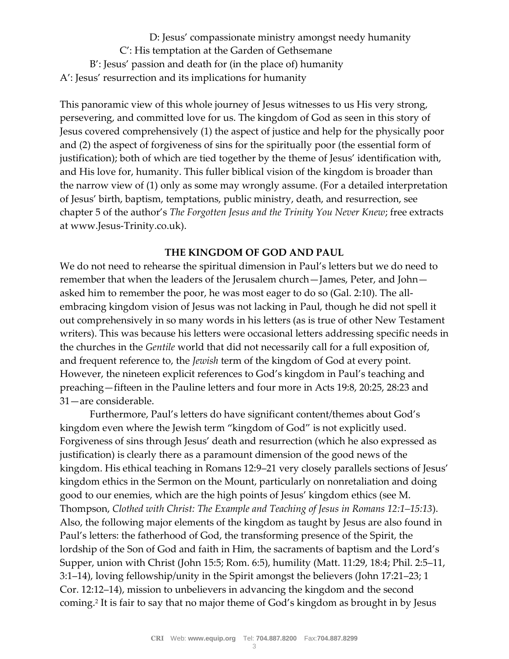D: Jesus' compassionate ministry amongst needy humanity C': His temptation at the Garden of Gethsemane B': Jesus' passion and death for (in the place of) humanity A': Jesus' resurrection and its implications for humanity

This panoramic view of this whole journey of Jesus witnesses to us His very strong, persevering, and committed love for us. The kingdom of God as seen in this story of Jesus covered comprehensively (1) the aspect of justice and help for the physically poor and (2) the aspect of forgiveness of sins for the spiritually poor (the essential form of justification); both of which are tied together by the theme of Jesus' identification with, and His love for, humanity. This fuller biblical vision of the kingdom is broader than the narrow view of (1) only as some may wrongly assume. (For a detailed interpretation of Jesus' birth, baptism, temptations, public ministry, death, and resurrection, see chapter 5 of the author's *The Forgotten Jesus and the Trinity You Never Knew*; free extracts at www.Jesus-Trinity.co.uk).

#### **THE KINGDOM OF GOD AND PAUL**

We do not need to rehearse the spiritual dimension in Paul's letters but we do need to remember that when the leaders of the Jerusalem church—James, Peter, and John asked him to remember the poor, he was most eager to do so (Gal. 2:10). The allembracing kingdom vision of Jesus was not lacking in Paul, though he did not spell it out comprehensively in so many words in his letters (as is true of other New Testament writers). This was because his letters were occasional letters addressing specific needs in the churches in the *Gentile* world that did not necessarily call for a full exposition of, and frequent reference to, the *Jewish* term of the kingdom of God at every point. However, the nineteen explicit references to God's kingdom in Paul's teaching and preaching—fifteen in the Pauline letters and four more in Acts 19:8, 20:25, 28:23 and 31—are considerable.

Furthermore, Paul's letters do have significant content/themes about God's kingdom even where the Jewish term "kingdom of God" is not explicitly used. Forgiveness of sins through Jesus' death and resurrection (which he also expressed as justification) is clearly there as a paramount dimension of the good news of the kingdom. His ethical teaching in Romans 12:9–21 very closely parallels sections of Jesus' kingdom ethics in the Sermon on the Mount, particularly on nonretaliation and doing good to our enemies, which are the high points of Jesus' kingdom ethics (see M. Thompson, *Clothed with Christ: The Example and Teaching of Jesus in Romans 12:1–15:13*). Also, the following major elements of the kingdom as taught by Jesus are also found in Paul's letters: the fatherhood of God, the transforming presence of the Spirit, the lordship of the Son of God and faith in Him, the sacraments of baptism and the Lord's Supper, union with Christ (John 15:5; Rom. 6:5), humility (Matt. 11:29, 18:4; Phil. 2:5–11, 3:1–14), loving fellowship/unity in the Spirit amongst the believers (John 17:21–23; 1 Cor. 12:12–14), mission to unbelievers in advancing the kingdom and the second coming.<sup>2</sup> It is fair to say that no major theme of God's kingdom as brought in by Jesus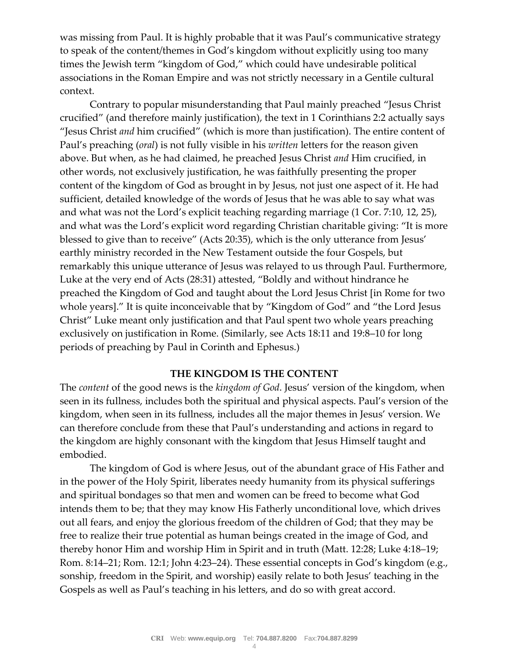was missing from Paul. It is highly probable that it was Paul's communicative strategy to speak of the content/themes in God's kingdom without explicitly using too many times the Jewish term "kingdom of God," which could have undesirable political associations in the Roman Empire and was not strictly necessary in a Gentile cultural context.

Contrary to popular misunderstanding that Paul mainly preached "Jesus Christ crucified" (and therefore mainly justification), the text in 1 Corinthians 2:2 actually says "Jesus Christ *and* him crucified" (which is more than justification). The entire content of Paul's preaching (*oral*) is not fully visible in his *written* letters for the reason given above. But when, as he had claimed, he preached Jesus Christ *and* Him crucified, in other words, not exclusively justification, he was faithfully presenting the proper content of the kingdom of God as brought in by Jesus, not just one aspect of it. He had sufficient, detailed knowledge of the words of Jesus that he was able to say what was and what was not the Lord's explicit teaching regarding marriage (1 Cor. 7:10, 12, 25), and what was the Lord's explicit word regarding Christian charitable giving: "It is more blessed to give than to receive" (Acts 20:35), which is the only utterance from Jesus' earthly ministry recorded in the New Testament outside the four Gospels, but remarkably this unique utterance of Jesus was relayed to us through Paul. Furthermore, Luke at the very end of Acts (28:31) attested, "Boldly and without hindrance he preached the Kingdom of God and taught about the Lord Jesus Christ [in Rome for two whole years]." It is quite inconceivable that by "Kingdom of God" and "the Lord Jesus Christ" Luke meant only justification and that Paul spent two whole years preaching exclusively on justification in Rome. (Similarly, see Acts 18:11 and 19:8–10 for long periods of preaching by Paul in Corinth and Ephesus.)

#### **THE KINGDOM IS THE CONTENT**

The *content* of the good news is the *kingdom of God*. Jesus' version of the kingdom, when seen in its fullness, includes both the spiritual and physical aspects. Paul's version of the kingdom, when seen in its fullness, includes all the major themes in Jesus' version. We can therefore conclude from these that Paul's understanding and actions in regard to the kingdom are highly consonant with the kingdom that Jesus Himself taught and embodied.

The kingdom of God is where Jesus, out of the abundant grace of His Father and in the power of the Holy Spirit, liberates needy humanity from its physical sufferings and spiritual bondages so that men and women can be freed to become what God intends them to be; that they may know His Fatherly unconditional love, which drives out all fears, and enjoy the glorious freedom of the children of God; that they may be free to realize their true potential as human beings created in the image of God, and thereby honor Him and worship Him in Spirit and in truth (Matt. 12:28; Luke 4:18–19; Rom. 8:14–21; Rom. 12:1; John 4:23–24). These essential concepts in God's kingdom (e.g., sonship, freedom in the Spirit, and worship) easily relate to both Jesus' teaching in the Gospels as well as Paul's teaching in his letters, and do so with great accord.